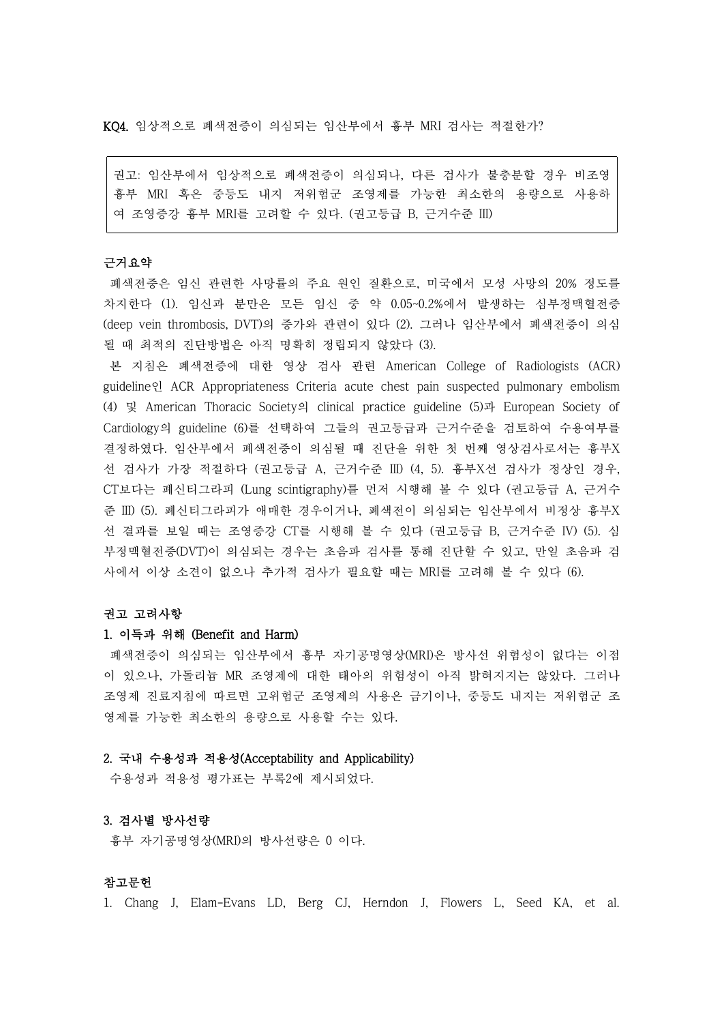KQ4. 임상적으로 폐색전증이 의심되는 임산부에서 흉부 MRI 검사는 적절한가?

권고: 임산부에서 임상적으로 폐색전증이 의심되나, 다른 검사가 불충분할 경우 비조영 흉부 MRI 혹은 중등도 내지 저위험군 조영제를 가능한 최소한의 용량으로 사용하 여 조영증강 흉부 MRI를 고려할 수 있다. (권고등급 B, 근거수준 III)

### 근거요약

폐색전증은 임신 관련한 사망률의 주요 원인 질환으로, 미국에서 모성 사망의 20% 정도를 차지한다 (1). 임신과 분만은 모든 임신 중 약 0.05~0.2%에서 발생하는 심부정맥혈전증 (deep vein thrombosis, DVT)의 증가와 관련이 있다 (2). 그러나 임산부에서 폐색전증이 의심 될 때 최적의 진단방법은 아직 명확히 정립되지 않았다 (3).

본 지침은 폐색전증에 대한 영상 검사 관련 American College of Radiologists (ACR) guideline인 ACR Appropriateness Criteria acute chest pain suspected pulmonary embolism (4) 및 American Thoracic Society의 clinical practice guideline (5)과 European Society of Cardiology의 guideline (6)를 선택하여 그들의 권고등급과 근거수준을 검토하여 수용여부를 결정하였다. 임산부에서 폐색전증이 의심될 때 진단을 위한 첫 번째 영상검사로서는 흉부X 선 검사가 가장 적절하다 (권고등급 A, 근거수준 IID (4, 5). 흉부X선 검사가 정상인 경우,<br>CT보다는 폐신티그라피 (Lung scintigraphy)를 먼저 시행해 볼 수 있다 (권고등급 A, 근거수 준 III) (5). 폐신티그라피가 애매한 경우이거나, 폐색전이 의심되는 임산부에서 비정상 흉부X 선 결과를 보일 때는 조영증강 CT를 시행해 볼 수 있다 (권고등급 B, 근거수준 IV) (5). 심 부정맥혈전증(DVT)이 의심되는 경우는 초음파 검사를 통해 진단할 수 있고, 만일 초음파 검 사에서 이상 소견이 없으나 추가적 검사가 필요할 때는 MRI를 고려해 볼 수 있다 (6).

#### 권고 고려사항

#### 1. 이득과 위해 (Benefit and Harm)

폐색전증이 의심되는 임산부에서 흉부 자기공명영상(MRI)은 방사선 위험성이 없다는 이점 이 있으나, 가돌리늄 MR 조영제에 대한 태아의 위험성이 아직 밝혀지지는 않았다. 그러나 조영제 진료지침에 따르면 고위험군 조영제의 사용은 금기이나, 중등도 내지는 저위험군 조 영제를 가능한 최소한의 용량으로 사용할 수는 있다.

# 2. 국내 수용성과 적용성(Acceptability and Applicability)

수용성과 적용성 평가표는 부록2에 제시되었다.

# 3. 검사별 방사선량

흉부 자기공명영상(MRI)의 방사선량은 0 이다.

# 참고문헌

1. Chang J, Elam-Evans LD, Berg CJ, Herndon J, Flowers L, Seed KA, et al.